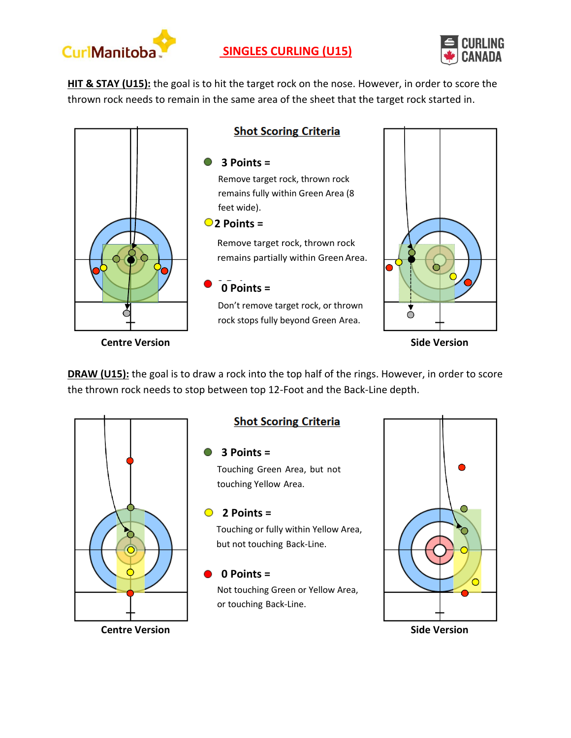

# **SINGLES CURLING (U15)**



**HIT & STAY (U15):** the goal is to hit the target rock on the nose. However, in order to score the thrown rock needs to remain in the same area of the sheet that the target rock started in.



**DRAW (U15):** the goal is to draw a rock into the top half of the rings. However, in order to score the thrown rock needs to stop between top 12-Foot and the Back-Line depth.



## **Shot Scoring Criteria**

#### **3 Points =**

Touching Green Area, but not touching Yellow Area.

### **2 Points =**

Touching or fully within Yellow Area, but not touching Back-Line.

### **0 Points =**

Not touching Green or Yellow Area, or touching Back-Line.

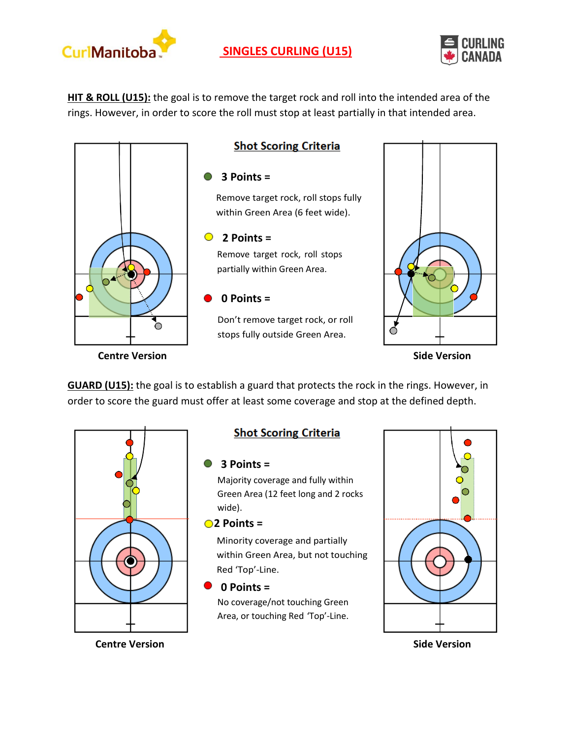



**HIT & ROLL (U15):** the goal is to remove the target rock and roll into the intended area of the rings. However, in order to score the roll must stop at least partially in that intended area.



**GUARD (U15):** the goal is to establish a guard that protects the rock in the rings. However, in order to score the guard must offer at least some coverage and stop at the defined depth.



## **Shot Scoring Criteria**

### **3 Points =**

Majority coverage and fully within Green Area (12 feet long and 2 rocks wide).

#### **2 Points =**

Minority coverage and partially within Green Area, but not touching Red 'Top'-Line.

### **0 Points =**

No coverage/not touching Green Area, or touching Red 'Top'-Line.



**Centre Version Side Version**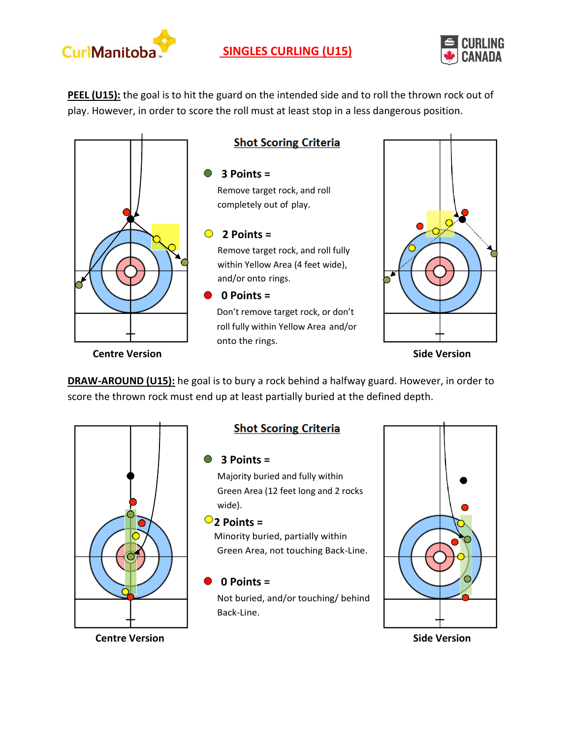



**PEEL (U15):** the goal is to hit the guard on the intended side and to roll the thrown rock out of play. However, in order to score the roll must at least stop in a less dangerous position.



**DRAW-AROUND (U15):** he goal is to bury a rock behind a halfway guard. However, in order to score the thrown rock must end up at least partially buried at the defined depth.



## **Shot Scoring Criteria**

### **3 Points =**

Majority buried and fully within Green Area (12 feet long and 2 rocks wide).

### $\bigcirc$  **2** Points =

Minority buried, partially within Green Area, not touching Back-Line.

### **0 Points =**

Not buried, and/or touching/ behind Back-Line.



**Centre Version Side Version**